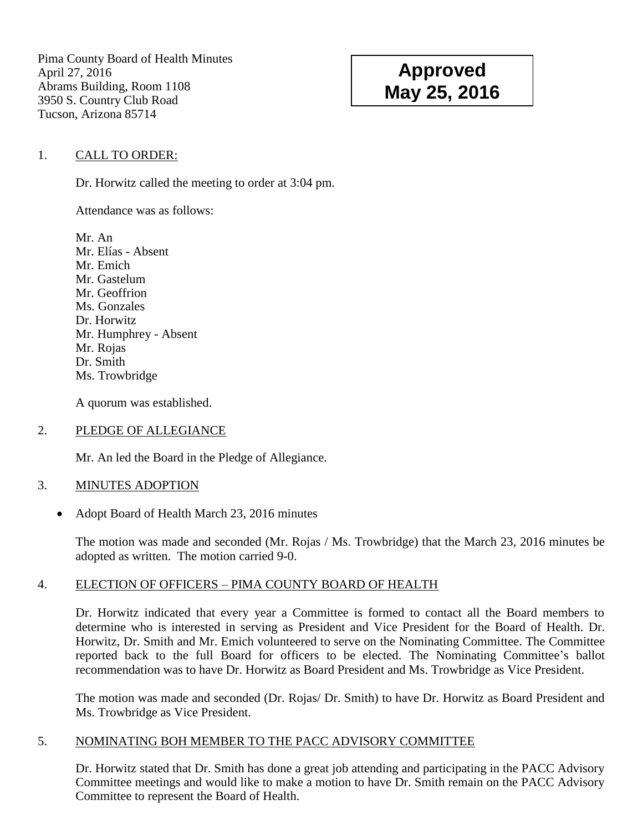Pima County Board of Health Minutes April 27, 2016 Abrams Building, Room 1108 3950 S. Country Club Road Tucson, Arizona 85714

# **Approved May 25, 2016**

## 1. CALL TO ORDER:

Dr. Horwitz called the meeting to order at 3:04 pm.

Attendance was as follows:

Mr. An Mr. Elías - Absent Mr. Emich Mr. Gastelum Mr. Geoffrion Ms. Gonzales Dr. Horwitz Mr. Humphrey - Absent Mr. Rojas Dr. Smith Ms. Trowbridge

A quorum was established.

## 2. PLEDGE OF ALLEGIANCE

Mr. An led the Board in the Pledge of Allegiance.

## 3. MINUTES ADOPTION

• Adopt Board of Health March 23, 2016 minutes

The motion was made and seconded (Mr. Rojas / Ms. Trowbridge) that the March 23, 2016 minutes be adopted as written. The motion carried 9-0.

## 4. ELECTION OF OFFICERS – PIMA COUNTY BOARD OF HEALTH

Dr. Horwitz indicated that every year a Committee is formed to contact all the Board members to determine who is interested in serving as President and Vice President for the Board of Health. Dr. Horwitz, Dr. Smith and Mr. Emich volunteered to serve on the Nominating Committee. The Committee reported back to the full Board for officers to be elected. The Nominating Committee's ballot recommendation was to have Dr. Horwitz as Board President and Ms. Trowbridge as Vice President.

The motion was made and seconded (Dr. Rojas/ Dr. Smith) to have Dr. Horwitz as Board President and Ms. Trowbridge as Vice President.

## 5. NOMINATING BOH MEMBER TO THE PACC ADVISORY COMMITTEE

Dr. Horwitz stated that Dr. Smith has done a great job attending and participating in the PACC Advisory Committee meetings and would like to make a motion to have Dr. Smith remain on the PACC Advisory Committee to represent the Board of Health.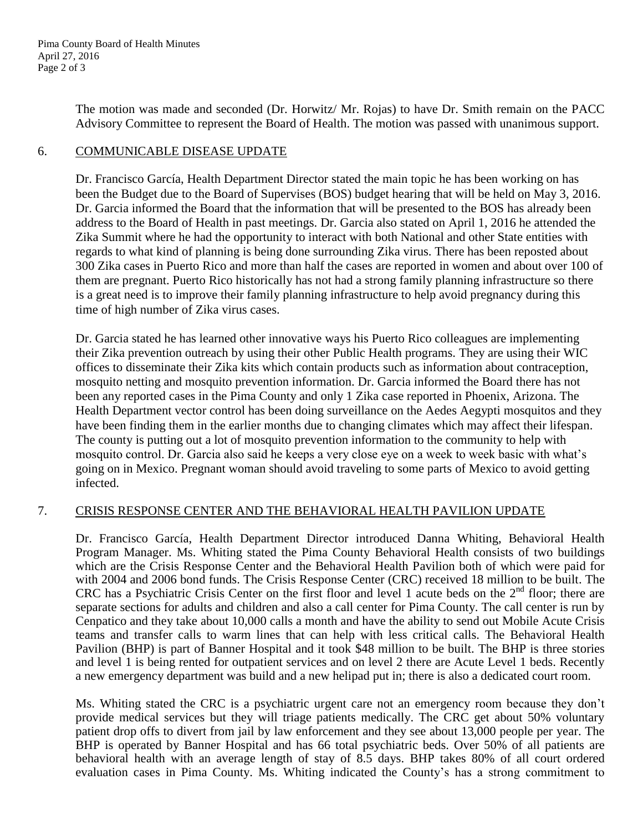The motion was made and seconded (Dr. Horwitz/ Mr. Rojas) to have Dr. Smith remain on the PACC Advisory Committee to represent the Board of Health. The motion was passed with unanimous support.

## 6. COMMUNICABLE DISEASE UPDATE

Dr. Francisco García, Health Department Director stated the main topic he has been working on has been the Budget due to the Board of Supervises (BOS) budget hearing that will be held on May 3, 2016. Dr. Garcia informed the Board that the information that will be presented to the BOS has already been address to the Board of Health in past meetings. Dr. Garcia also stated on April 1, 2016 he attended the Zika Summit where he had the opportunity to interact with both National and other State entities with regards to what kind of planning is being done surrounding Zika virus. There has been reposted about 300 Zika cases in Puerto Rico and more than half the cases are reported in women and about over 100 of them are pregnant. Puerto Rico historically has not had a strong family planning infrastructure so there is a great need is to improve their family planning infrastructure to help avoid pregnancy during this time of high number of Zika virus cases.

Dr. Garcia stated he has learned other innovative ways his Puerto Rico colleagues are implementing their Zika prevention outreach by using their other Public Health programs. They are using their WIC offices to disseminate their Zika kits which contain products such as information about contraception, mosquito netting and mosquito prevention information. Dr. Garcia informed the Board there has not been any reported cases in the Pima County and only 1 Zika case reported in Phoenix, Arizona. The Health Department vector control has been doing surveillance on the Aedes Aegypti mosquitos and they have been finding them in the earlier months due to changing climates which may affect their lifespan. The county is putting out a lot of mosquito prevention information to the community to help with mosquito control. Dr. Garcia also said he keeps a very close eye on a week to week basic with what's going on in Mexico. Pregnant woman should avoid traveling to some parts of Mexico to avoid getting infected.

## 7. CRISIS RESPONSE CENTER AND THE BEHAVIORAL HEALTH PAVILION UPDATE

Dr. Francisco García, Health Department Director introduced Danna Whiting, Behavioral Health Program Manager. Ms. Whiting stated the Pima County Behavioral Health consists of two buildings which are the Crisis Response Center and the Behavioral Health Pavilion both of which were paid for with 2004 and 2006 bond funds. The Crisis Response Center (CRC) received 18 million to be built. The CRC has a Psychiatric Crisis Center on the first floor and level 1 acute beds on the  $2<sup>nd</sup>$  floor; there are separate sections for adults and children and also a call center for Pima County. The call center is run by Cenpatico and they take about 10,000 calls a month and have the ability to send out Mobile Acute Crisis teams and transfer calls to warm lines that can help with less critical calls. The Behavioral Health Pavilion (BHP) is part of Banner Hospital and it took \$48 million to be built. The BHP is three stories and level 1 is being rented for outpatient services and on level 2 there are Acute Level 1 beds. Recently a new emergency department was build and a new helipad put in; there is also a dedicated court room.

Ms. Whiting stated the CRC is a psychiatric urgent care not an emergency room because they don't provide medical services but they will triage patients medically. The CRC get about 50% voluntary patient drop offs to divert from jail by law enforcement and they see about 13,000 people per year. The BHP is operated by Banner Hospital and has 66 total psychiatric beds. Over 50% of all patients are behavioral health with an average length of stay of 8.5 days. BHP takes 80% of all court ordered evaluation cases in Pima County. Ms. Whiting indicated the County's has a strong commitment to